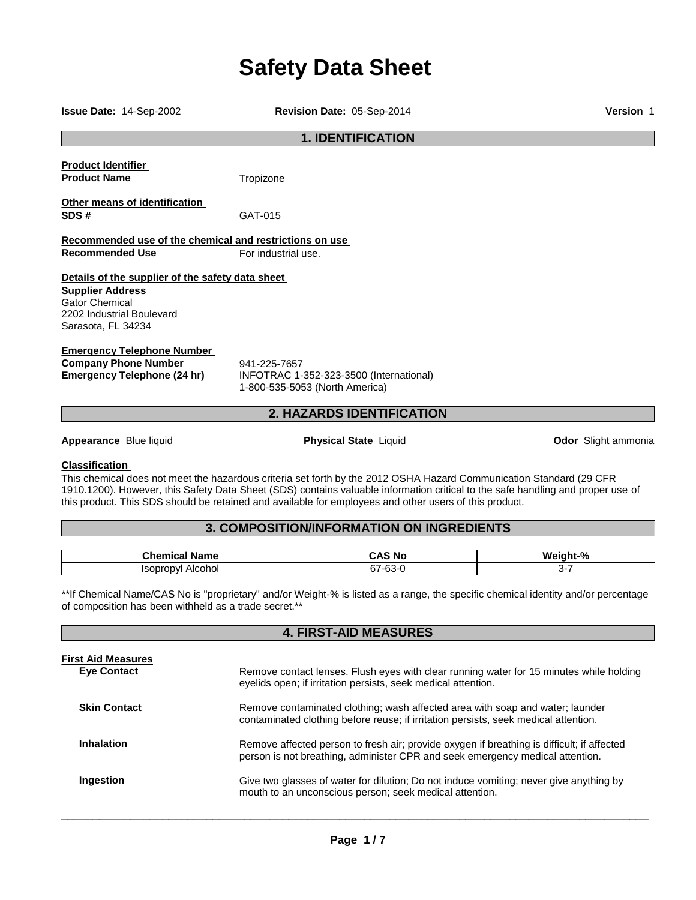# **Safety Data Sheet**

**Issue Date:** 14-Sep-2002 **Revision Date:** 05-Sep-2014 **Version** 1 **1. IDENTIFICATION Product Identifier Product Name Tropizone Other means of identification SDS #** GAT-015 **Recommended use of the chemical and restrictions on use Recommended Use For industrial use Details of the supplier of the safety data sheet Supplier Address** Gator Chemical 2202 Industrial Boulevard Sarasota, FL 34234 **Emergency Telephone Number Company Phone Number** 941-225-7657<br>**Emergency Telephone (24 hr)** INFOTRAC 1-**Emergency Telephone (24 hr)** INFOTRAC 1-352-323-3500 (International) 1-800-535-5053 (North America) **2. HAZARDS IDENTIFICATION Appearance** Blue liquid **Physical State** Liquid **Odor** Slight ammonia

#### **Classification**

This chemical does not meet the hazardous criteria set forth by the 2012 OSHA Hazard Communication Standard (29 CFR 1910.1200). However, this Safety Data Sheet (SDS) contains valuable information critical to the safe handling and proper use of this product. This SDS should be retained and available for employees and other users of this product.

# **3. COMPOSITION/INFORMATION ON INGREDIENTS**

| . .<br>Chemic<br>Name<br>нса | CAS No<br>™ NC                         | -04<br>W.<br><br>7۵. |
|------------------------------|----------------------------------------|----------------------|
| Alcohol<br>w                 | $\sim$<br>$\sim$<br>57-6<br>`*-`<br>ט- | . .                  |

\*\*If Chemical Name/CAS No is "proprietary" and/or Weight-% is listed as a range, the specific chemical identity and/or percentage of composition has been withheld as a trade secret.\*\*

**4. FIRST-AID MEASURES** 

| Remove contact lenses. Flush eyes with clear running water for 15 minutes while holding<br>eyelids open; if irritation persists, seek medical attention.                    |
|-----------------------------------------------------------------------------------------------------------------------------------------------------------------------------|
| Remove contaminated clothing; wash affected area with soap and water; launder<br>contaminated clothing before reuse; if irritation persists, seek medical attention.        |
| Remove affected person to fresh air; provide oxygen if breathing is difficult; if affected<br>person is not breathing, administer CPR and seek emergency medical attention. |
| Give two glasses of water for dilution; Do not induce vomiting; never give anything by<br>mouth to an unconscious person; seek medical attention.                           |
|                                                                                                                                                                             |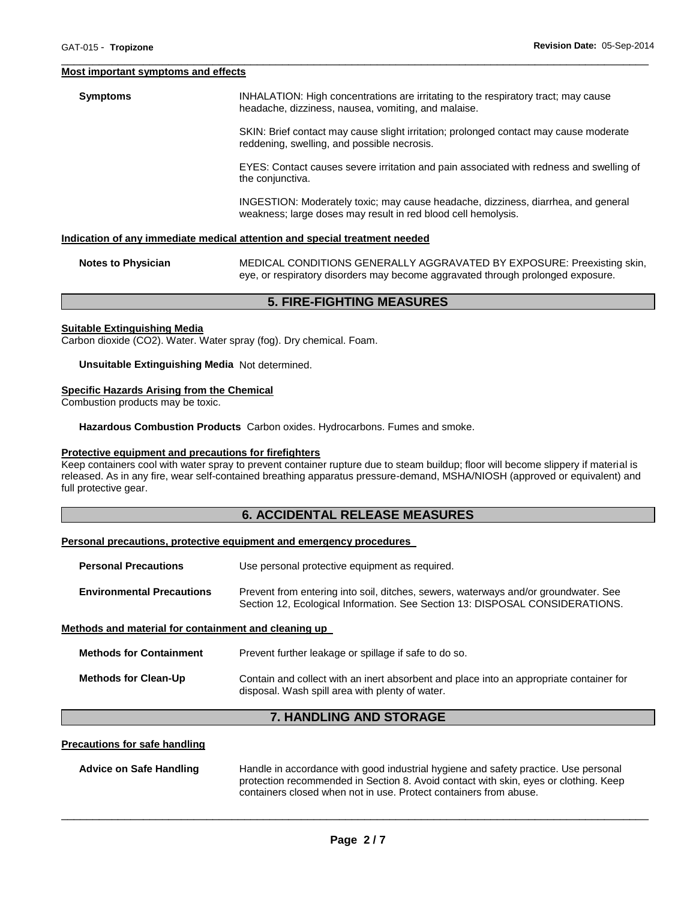#### **Most important symptoms and effects**

**Symptoms INHALATION: High concentrations are irritating to the respiratory tract; may cause** headache, dizziness, nausea, vomiting, and malaise. SKIN: Brief contact may cause slight irritation; prolonged contact may cause moderate reddening, swelling, and possible necrosis. EYES: Contact causes severe irritation and pain associated with redness and swelling of the conjunctiva.

\_\_\_\_\_\_\_\_\_\_\_\_\_\_\_\_\_\_\_\_\_\_\_\_\_\_\_\_\_\_\_\_\_\_\_\_\_\_\_\_\_\_\_\_\_\_\_\_\_\_\_\_\_\_\_\_\_\_\_\_\_\_\_\_\_\_\_\_\_\_\_\_\_\_\_\_\_\_\_\_\_\_\_\_\_\_\_\_\_\_\_\_\_

INGESTION: Moderately toxic; may cause headache, dizziness, diarrhea, and general weakness; large doses may result in red blood cell hemolysis.

#### **Indication of any immediate medical attention and special treatment needed**

| <b>Notes to Physician</b> | MEDICAL CONDITIONS GENERALLY AGGRAVATED BY EXPOSURE: Preexisting skin,          |
|---------------------------|---------------------------------------------------------------------------------|
|                           | eye, or respiratory disorders may become aggravated through prolonged exposure. |

## **5. FIRE-FIGHTING MEASURES**

#### **Suitable Extinguishing Media**

Carbon dioxide (CO2). Water. Water spray (fog). Dry chemical. Foam.

#### **Unsuitable Extinguishing Media** Not determined.

#### **Specific Hazards Arising from the Chemical**

Combustion products may be toxic.

**Hazardous Combustion Products** Carbon oxides. Hydrocarbons. Fumes and smoke.

#### **Protective equipment and precautions for firefighters**

Keep containers cool with water spray to prevent container rupture due to steam buildup; floor will become slippery if material is released. As in any fire, wear self-contained breathing apparatus pressure-demand, MSHA/NIOSH (approved or equivalent) and full protective gear.

# **6. ACCIDENTAL RELEASE MEASURES**

#### **Personal precautions, protective equipment and emergency procedures**

| <b>Personal Precautions</b>                          | Use personal protective equipment as required.                                                                                                                      |  |
|------------------------------------------------------|---------------------------------------------------------------------------------------------------------------------------------------------------------------------|--|
| <b>Environmental Precautions</b>                     | Prevent from entering into soil, ditches, sewers, waterways and/or groundwater. See<br>Section 12, Ecological Information. See Section 13: DISPOSAL CONSIDERATIONS. |  |
| Methods and material for containment and cleaning up |                                                                                                                                                                     |  |

| Methods for Containment | Prevent further leakage or spillage if safe to do so.                                                                                      |  |
|-------------------------|--------------------------------------------------------------------------------------------------------------------------------------------|--|
| Methods for Clean-Up    | Contain and collect with an inert absorbent and place into an appropriate container for<br>disposal. Wash spill area with plenty of water. |  |

# **7. HANDLING AND STORAGE**

### **Precautions for safe handling**

| Advice on Safe Handling | Handle in accordance with good industrial hygiene and safety practice. Use personal  |  |  |
|-------------------------|--------------------------------------------------------------------------------------|--|--|
|                         | protection recommended in Section 8. Avoid contact with skin, eyes or clothing. Keep |  |  |
|                         | containers closed when not in use. Protect containers from abuse.                    |  |  |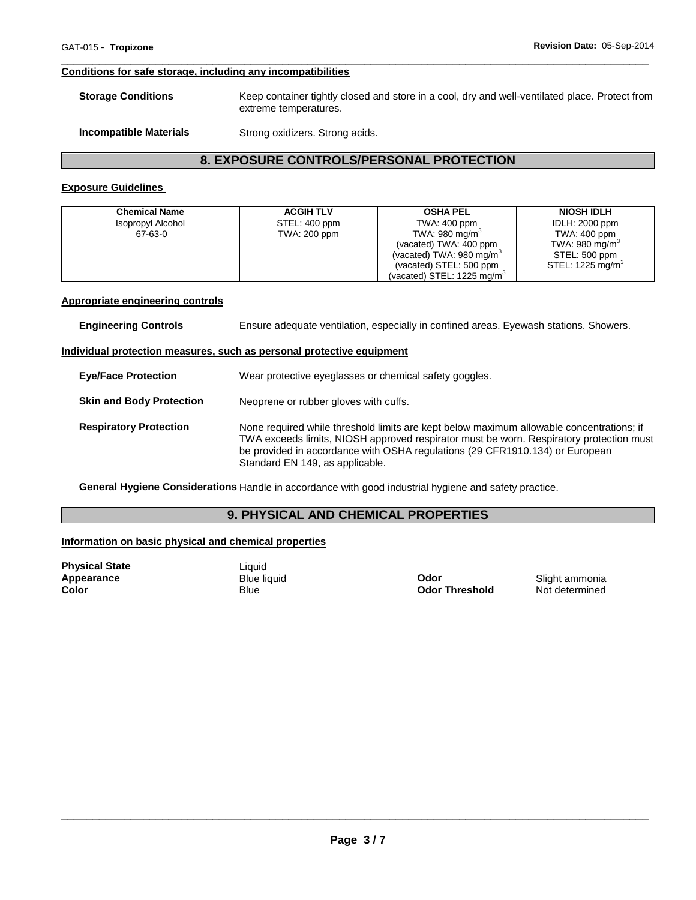#### **Conditions for safe storage, including any incompatibilities**

| <b>Storage Conditions</b>     | Keep container tightly closed and store in a cool, dry and well-ventilated place. Protect from<br>extreme temperatures. |
|-------------------------------|-------------------------------------------------------------------------------------------------------------------------|
| <b>Incompatible Materials</b> | Strong oxidizers. Strong acids.                                                                                         |

\_\_\_\_\_\_\_\_\_\_\_\_\_\_\_\_\_\_\_\_\_\_\_\_\_\_\_\_\_\_\_\_\_\_\_\_\_\_\_\_\_\_\_\_\_\_\_\_\_\_\_\_\_\_\_\_\_\_\_\_\_\_\_\_\_\_\_\_\_\_\_\_\_\_\_\_\_\_\_\_\_\_\_\_\_\_\_\_\_\_\_\_\_

# **8. EXPOSURE CONTROLS/PERSONAL PROTECTION**

## **Exposure Guidelines**

| <b>Chemical Name</b> | <b>ACGIH TLV</b> | <b>OSHA PEL</b>                       | <b>NIOSH IDLH</b>            |
|----------------------|------------------|---------------------------------------|------------------------------|
| Isopropyl Alcohol    | STEL: 400 ppm    | TWA: 400 ppm                          | <b>IDLH: 2000 ppm</b>        |
| 67-63-0              | TWA: 200 ppm     | TWA: 980 mg/m <sup>3</sup>            | TWA: 400 ppm                 |
|                      |                  | (vacated) TWA: 400 ppm                | TWA: 980 mg/m <sup>3</sup>   |
|                      |                  | (vacated) TWA: 980 mg/m <sup>3</sup>  | STEL: 500 ppm                |
|                      |                  | (vacated) STEL: 500 ppm               | STEL: 1225 mg/m <sup>3</sup> |
|                      |                  | (vacated) STEL: $1225 \text{ mg/m}^3$ |                              |

#### **Appropriate engineering controls**

| <b>Engineering Controls</b> | Ensure adequate ventilation, especially in confined areas. Eyewash stations. Showers. |
|-----------------------------|---------------------------------------------------------------------------------------|
|                             | Individual protection measures, such as personal protective equipment                 |
| <b>Eve/Face Protection</b>  | Wear protective eyeglasses or chemical safety goggles.                                |

- **Skin and Body Protection** Neoprene or rubber gloves with cuffs.
- **Respiratory Protection** None required while threshold limits are kept below maximum allowable concentrations; if TWA exceeds limits, NIOSH approved respirator must be worn. Respiratory protection must be provided in accordance with OSHA regulations (29 CFR1910.134) or European Standard EN 149, as applicable.

**General Hygiene Considerations** Handle in accordance with good industrial hygiene and safety practice.

# **9. PHYSICAL AND CHEMICAL PROPERTIES**

#### **Information on basic physical and chemical properties**

**Physical State Contract Contract Contract Contract Contract Contract Contract Contract Contract Contract Contract Contract Contract Contract Contract Contract Contract Contract Contract Contract Contract Contract Contra** 

**Appearance** Blue liquid **Odor** Slight ammonia **Color Threshold Motive Hermined Color Threshold Not determined**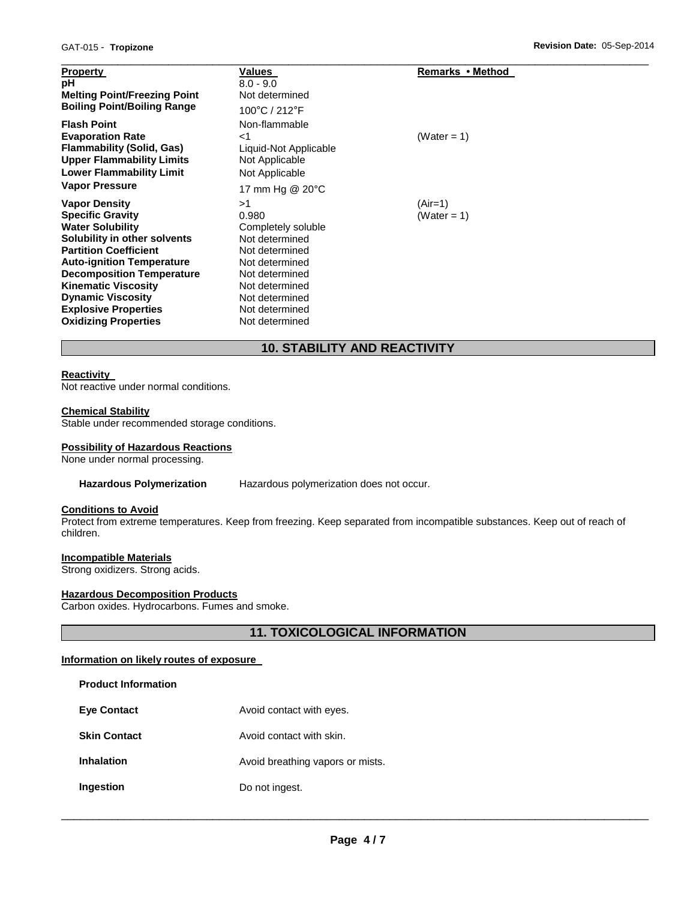| <b>Property</b><br>рH<br><b>Melting Point/Freezing Point</b><br><b>Boiling Point/Boiling Range</b>                                                       | Values<br>$8.0 - 9.0$<br>Not determined<br>100°C / 212°F                             | Remarks • Method         |  |
|----------------------------------------------------------------------------------------------------------------------------------------------------------|--------------------------------------------------------------------------------------|--------------------------|--|
| <b>Flash Point</b><br><b>Evaporation Rate</b><br><b>Flammability (Solid, Gas)</b><br><b>Upper Flammability Limits</b><br><b>Lower Flammability Limit</b> | Non-flammable<br>${<}1$<br>Liquid-Not Applicable<br>Not Applicable<br>Not Applicable | (Water = 1)              |  |
| <b>Vapor Pressure</b>                                                                                                                                    | 17 mm Hg @ 20°C<br>>1                                                                |                          |  |
| <b>Vapor Density</b><br><b>Specific Gravity</b><br><b>Water Solubility</b><br>Solubility in other solvents                                               | 0.980<br>Completely soluble<br>Not determined                                        | $(Air=1)$<br>(Water = 1) |  |
| <b>Partition Coefficient</b><br><b>Auto-ignition Temperature</b><br><b>Decomposition Temperature</b>                                                     | Not determined<br>Not determined<br>Not determined                                   |                          |  |
| <b>Kinematic Viscosity</b><br><b>Dynamic Viscosity</b><br><b>Explosive Properties</b><br><b>Oxidizing Properties</b>                                     | Not determined<br>Not determined<br>Not determined<br>Not determined                 |                          |  |

# **10. STABILITY AND REACTIVITY**

# **Reactivity**

Not reactive under normal conditions.

#### **Chemical Stability**

Stable under recommended storage conditions.

#### **Possibility of Hazardous Reactions**

None under normal processing.

**Hazardous Polymerization** Hazardous polymerization does not occur.

#### **Conditions to Avoid**

Protect from extreme temperatures. Keep from freezing. Keep separated from incompatible substances. Keep out of reach of children.

# **Incompatible Materials**

Strong oxidizers. Strong acids.

# **Hazardous Decomposition Products**

Carbon oxides. Hydrocarbons. Fumes and smoke.

**11. TOXICOLOGICAL INFORMATION** 

# **Information on likely routes of exposure**

| <b>Product Information</b> |                                  |
|----------------------------|----------------------------------|
| <b>Eve Contact</b>         | Avoid contact with eyes.         |
| <b>Skin Contact</b>        | Avoid contact with skin.         |
| Inhalation                 | Avoid breathing vapors or mists. |
| Ingestion                  | Do not ingest.                   |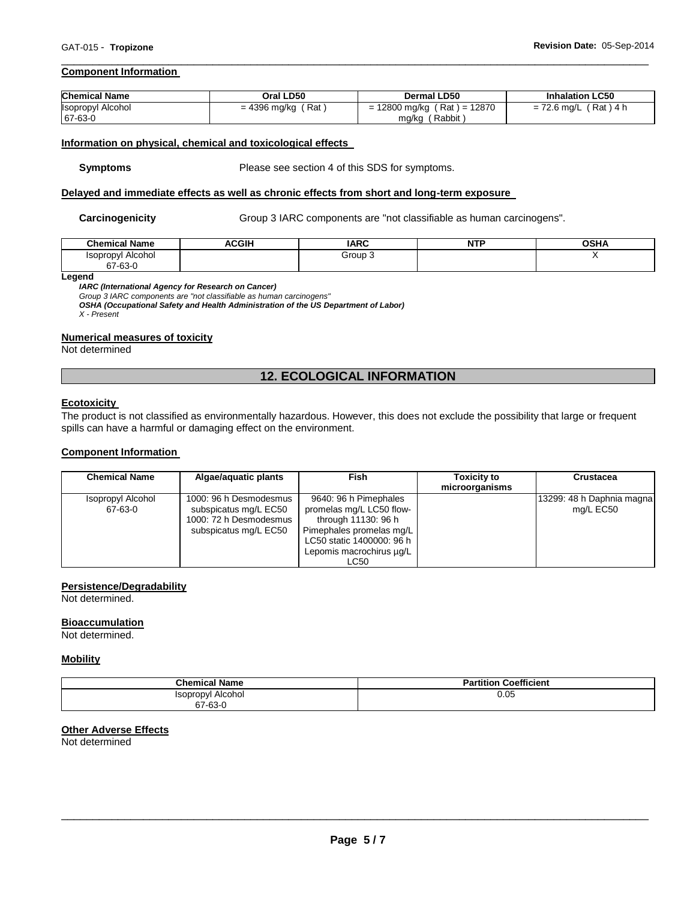#### **Component Information**

| <b>Chemical Name</b>     | Oral LD50            | <b>Dermal LD50</b>            | <b>Inhalation LC50</b>  |
|--------------------------|----------------------|-------------------------------|-------------------------|
| <b>Isopropyl Alcohol</b> | $= 4396$ mg/kg (Rat) | $= 12800$ mg/kg (Rat) = 12870 | $= 72.6$ mg/L (Rat) 4 h |
| 67-63-0                  |                      | mg/kg (Rabbit)                |                         |

\_\_\_\_\_\_\_\_\_\_\_\_\_\_\_\_\_\_\_\_\_\_\_\_\_\_\_\_\_\_\_\_\_\_\_\_\_\_\_\_\_\_\_\_\_\_\_\_\_\_\_\_\_\_\_\_\_\_\_\_\_\_\_\_\_\_\_\_\_\_\_\_\_\_\_\_\_\_\_\_\_\_\_\_\_\_\_\_\_\_\_\_\_

#### **Information on physical, chemical and toxicological effects**

**Symptoms** Please see section 4 of this SDS for symptoms.

## **Delayed and immediate effects as well as chronic effects from short and long-term exposure**

**Carcinogenicity Group 3 IARC components are "not classifiable as human carcinogens".** 

| <b>Chemical Name</b>          | ACGIH | <b>IARC</b> | <b>NTP</b><br>. | <b>OCUA</b><br>UJNA |
|-------------------------------|-------|-------------|-----------------|---------------------|
| Alcohol<br>opropvl<br>67-63-0 |       | Group 3     |                 |                     |

**Legend** 

*IARC (International Agency for Research on Cancer)*

*Group 3 IARC components are "not classifiable as human carcinogens"* 

*OSHA (Occupational Safety and Health Administration of the US Department of Labor) X - Present* 

# **Numerical measures of toxicity**

Not determined

# **12. ECOLOGICAL INFORMATION**

#### **Ecotoxicity**

The product is not classified as environmentally hazardous. However, this does not exclude the possibility that large or frequent spills can have a harmful or damaging effect on the environment.

#### **Component Information**

| <b>Chemical Name</b>                | Algae/aguatic plants                                                                               | <b>Fish</b>                                                                                                                                                           | <b>Toxicity to</b><br>microorganisms | <b>Crustacea</b>                       |
|-------------------------------------|----------------------------------------------------------------------------------------------------|-----------------------------------------------------------------------------------------------------------------------------------------------------------------------|--------------------------------------|----------------------------------------|
| <b>Isopropyl Alcohol</b><br>67-63-0 | 1000: 96 h Desmodesmus<br>subspicatus mg/L EC50<br>1000: 72 h Desmodesmus<br>subspicatus mg/L EC50 | 9640: 96 h Pimephales<br>promelas mg/L LC50 flow-<br>through 11130: 96 h<br>Pimephales promelas mg/L<br>LC50 static 1400000: 96 h<br>Lepomis macrochirus ug/L<br>LC50 |                                      | 13299: 48 h Daphnia magna<br>mg/L EC50 |

#### **Persistence/Degradability**

Not determined.

#### **Bioaccumulation**

Not determined.

#### **Mobility**

| <b>Chemical Name</b>     | <b>Partition Coefficient</b> |
|--------------------------|------------------------------|
| <b>Isopropyl Alcohol</b> | 0.05                         |
| 67-63-0                  |                              |

#### **Other Adverse Effects**

Not determined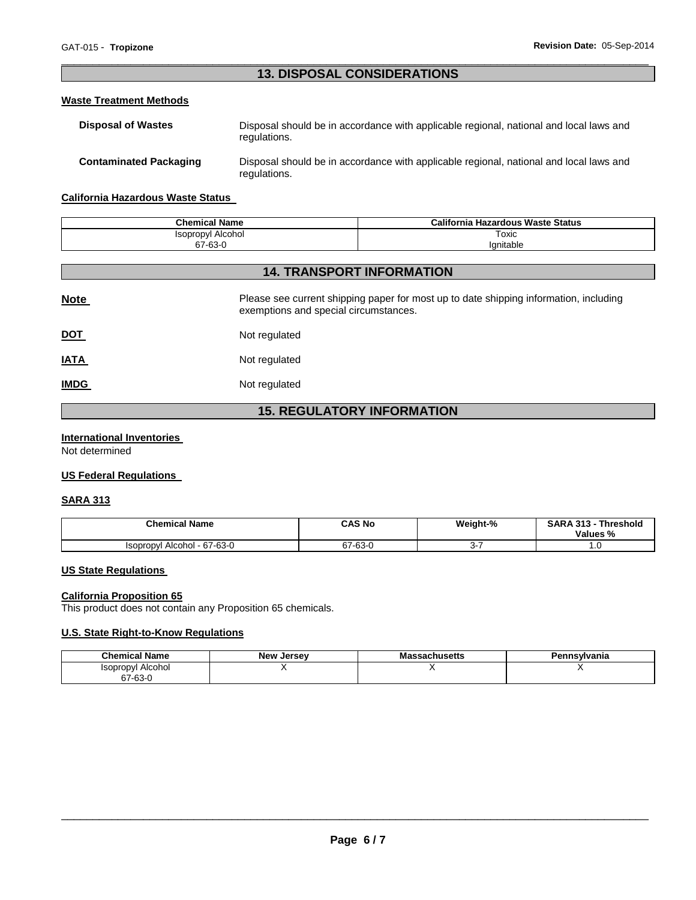# \_\_\_\_\_\_\_\_\_\_\_\_\_\_\_\_\_\_\_\_\_\_\_\_\_\_\_\_\_\_\_\_\_\_\_\_\_\_\_\_\_\_\_\_\_\_\_\_\_\_\_\_\_\_\_\_\_\_\_\_\_\_\_\_\_\_\_\_\_\_\_\_\_\_\_\_\_\_\_\_\_\_\_\_\_\_\_\_\_\_\_\_\_ **13. DISPOSAL CONSIDERATIONS**

# **Waste Treatment Methods**

| <b>Disposal of Wastes</b>     | Disposal should be in accordance with applicable regional, national and local laws and<br>regulations. |
|-------------------------------|--------------------------------------------------------------------------------------------------------|
| <b>Contaminated Packaging</b> | Disposal should be in accordance with applicable regional, national and local laws and<br>regulations. |

## **California Hazardous Waste Status**

| <b>Chemical Name</b>     | California Hazardous Waste Status |
|--------------------------|-----------------------------------|
| <b>Isopropyl Alcohol</b> | Toxic                             |
| 67-63-0                  | lanitable                         |

# **14. TRANSPORT INFORMATION**

| <b>Note</b> | Please see current shipping paper for most up to date shipping information, including<br>exemptions and special circumstances. |
|-------------|--------------------------------------------------------------------------------------------------------------------------------|
| <u>DOT</u>  | Not regulated                                                                                                                  |
| <b>IATA</b> | Not regulated                                                                                                                  |
| <b>IMDG</b> | Not regulated                                                                                                                  |

# **15. REGULATORY INFORMATION**

# **International Inventories**

Not determined

# **US Federal Regulations**

## **SARA 313**

| <b>Chemical Name</b>                      | CAS No  | Weight-% | <b>SARA</b><br>242<br><b>Threshold</b><br>Values % |
|-------------------------------------------|---------|----------|----------------------------------------------------|
| $-67-63-0$<br>Alcohol<br><b>ISODrODVI</b> | 67-63-0 | ີ        | ن. ا                                               |

## **US State Regulations**

# **California Proposition 65**

This product does not contain any Proposition 65 chemicals.

# **U.S. State Right-to-Know Regulations**

| <b>Chemical Name</b> | <b>New Jersey</b> | sachusetts<br>Mas | Pennsvlvania |
|----------------------|-------------------|-------------------|--------------|
| Alcohol<br>Isopropyl |                   |                   |              |
| 67-63-0              |                   |                   |              |